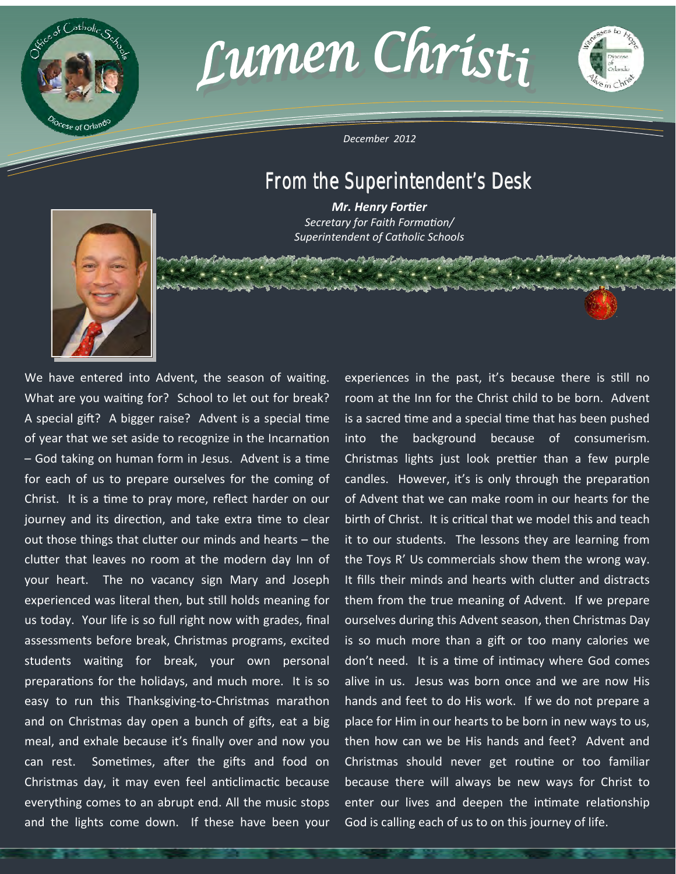





*December 2012* 

# From the Superintendent's Desk

*Mr. Henry Fortier Secretary for Faith Formation/ Superintendent of Catholic Schools* 

. Mathamad aluna



We have entered into Advent, the season of waiting. What are you waiting for? School to let out for break? A special gift? A bigger raise? Advent is a special time of year that we set aside to recognize in the Incarnation – God taking on human form in Jesus. Advent is a time for each of us to prepare ourselves for the coming of Christ. It is a time to pray more, reflect harder on our journey and its direction, and take extra time to clear out those things that clutter our minds and hearts - the clutter that leaves no room at the modern day Inn of your heart. The no vacancy sign Mary and Joseph experienced was literal then, but still holds meaning for us today. Your life is so full right now with grades, final assessments before break, Christmas programs, excited students waiting for break, your own personal preparations for the holidays, and much more. It is so easy to run this Thanksgiving‐to‐Christmas marathon and on Christmas day open a bunch of gifts, eat a big meal, and exhale because it's finally over and now you can rest. Sometimes, after the gifts and food on Christmas day, it may even feel anticlimactic because everything comes to an abrupt end. All the music stops and the lights come down. If these have been your

experiences in the past, it's because there is still no room at the Inn for the Christ child to be born. Advent is a sacred time and a special time that has been pushed into the background because of consumerism. Christmas lights just look prettier than a few purple candles. However, it's is only through the preparation of Advent that we can make room in our hearts for the birth of Christ. It is critical that we model this and teach it to our students. The lessons they are learning from the Toys R' Us commercials show them the wrong way. It fills their minds and hearts with clutter and distracts them from the true meaning of Advent. If we prepare ourselves during this Advent season, then Christmas Day is so much more than a gift or too many calories we don't need. It is a time of intimacy where God comes alive in us. Jesus was born once and we are now His hands and feet to do His work. If we do not prepare a place for Him in our hearts to be born in new ways to us, then how can we be His hands and feet? Advent and Christmas should never get routine or too familiar because there will always be new ways for Christ to enter our lives and deepen the intimate relationship God is calling each of us to on this journey of life.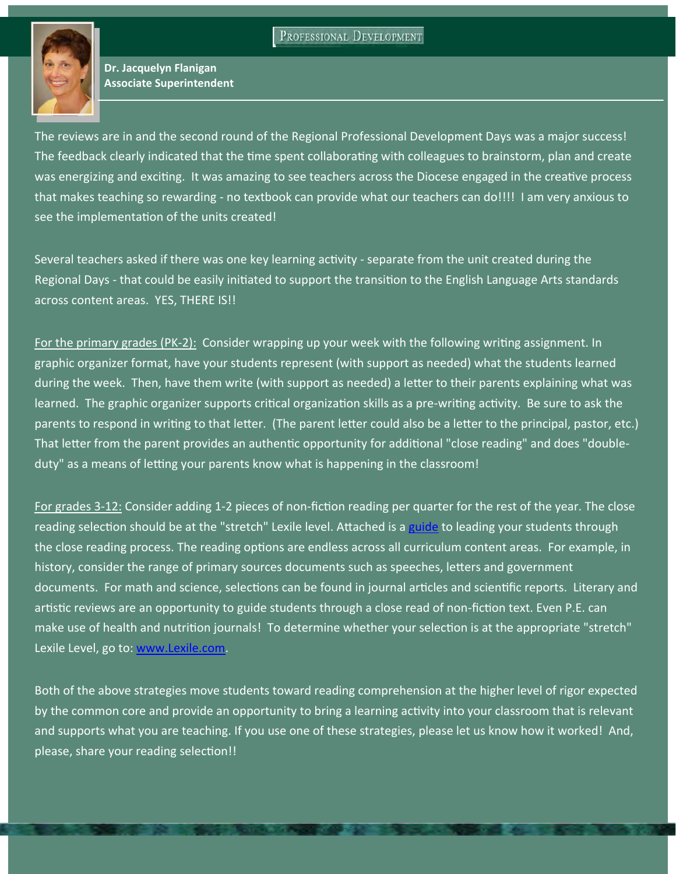PROFESSIONAL DEVELOPMENT



**Dr. Jacquelyn Flanigan Associate Superintendent**

The reviews are in and the second round of the Regional Professional Development Days was a major success! The feedback clearly indicated that the time spent collaborating with colleagues to brainstorm, plan and create was energizing and exciting. It was amazing to see teachers across the Diocese engaged in the creative process that makes teaching so rewarding ‐ no textbook can provide what our teachers can do!!!! I am very anxious to see the implementation of the units created!

Several teachers asked if there was one key learning activity - separate from the unit created during the Regional Days - that could be easily initiated to support the transition to the English Language Arts standards across content areas. YES, THERE IS!!

For the primary grades (PK-2): Consider wrapping up your week with the following writing assignment. In graphic organizer format, have your students represent (with support as needed) what the students learned during the week. Then, have them write (with support as needed) a letter to their parents explaining what was learned. The graphic organizer supports critical organization skills as a pre-writing activity. Be sure to ask the parents to respond in writing to that letter. (The parent letter could also be a letter to the principal, pastor, etc.) That letter from the parent provides an authentic opportunity for additional "close reading" and does "doubleduty" as a means of letting your parents know what is happening in the classroom!

For grades 3-12: Consider adding 1-2 pieces of non-fiction reading per quarter for the rest of the year. The close reading selection should be at the "stretch" Lexile level. Attached is a [guide](http://www.orlandodiocese.org/images/stories/schools/pdf/GuidetoCloseReadingProcess.pdf) to leading your students through the close reading process. The reading options are endless across all curriculum content areas. For example, in history, consider the range of primary sources documents such as speeches, letters and government documents. For math and science, selections can be found in journal articles and scientific reports. Literary and artistic reviews are an opportunity to guide students through a close read of non-fiction text. Even P.E. can make use of health and nutrition journals! To determine whether your selection is at the appropriate "stretch" Lexile Level, go to: [www.Lexile.com](http://www.Lexile.com).

Both of the above strategies move students toward reading comprehension at the higher level of rigor expected by the common core and provide an opportunity to bring a learning activity into your classroom that is relevant and supports what you are teaching. If you use one of these strategies, please let us know how it worked! And, please, share your reading selection!!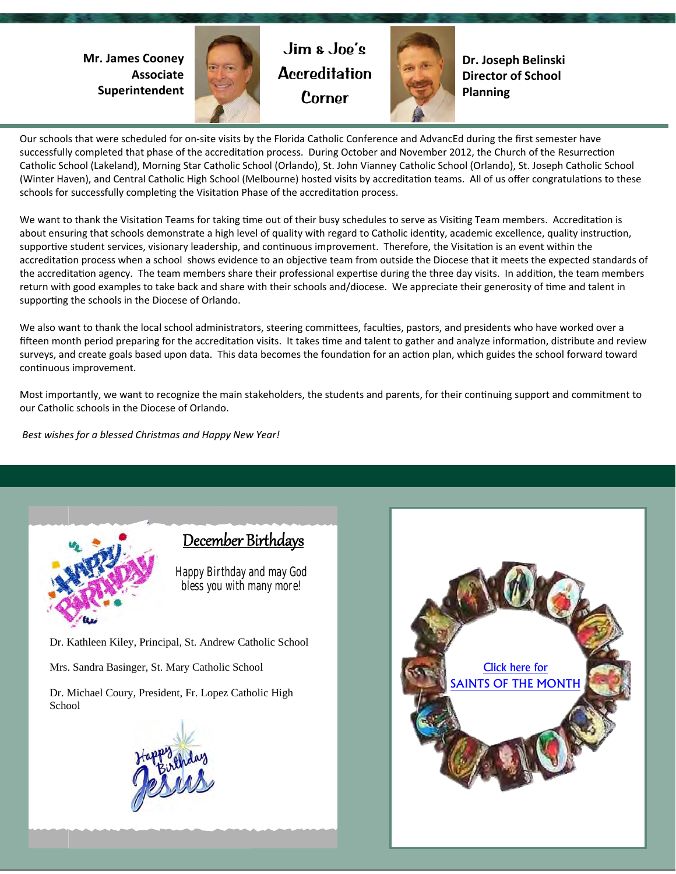**Mr. James Cooney Associate Superintendent**



Jim & Joe's **Accreditation** Corner



**Dr. Joseph Belinski Director of School Planning**

Our schools that were scheduled for on‐site visits by the Florida Catholic Conference and AdvancEd during the first semester have successfully completed that phase of the accreditation process. During October and November 2012, the Church of the Resurrection Catholic School (Lakeland), Morning Star Catholic School (Orlando), St. John Vianney Catholic School (Orlando), St. Joseph Catholic School (Winter Haven), and Central Catholic High School (Melbourne) hosted visits by accreditation teams. All of us offer congratulations to these schools for successfully completing the Visitation Phase of the accreditation process.

We want to thank the Visitation Teams for taking time out of their busy schedules to serve as Visiting Team members. Accreditation is about ensuring that schools demonstrate a high level of quality with regard to Catholic identity, academic excellence, quality instruction, supportive student services, visionary leadership, and continuous improvement. Therefore, the Visitation is an event within the accreditation process when a school shows evidence to an objective team from outside the Diocese that it meets the expected standards of the accreditation agency. The team members share their professional expertise during the three day visits. In addition, the team members return with good examples to take back and share with their schools and/diocese. We appreciate their generosity of time and talent in supporting the schools in the Diocese of Orlando.

We also want to thank the local school administrators, steering committees, faculties, pastors, and presidents who have worked over a fifteen month period preparing for the accreditation visits. It takes time and talent to gather and analyze information, distribute and review surveys, and create goals based upon data. This data becomes the foundation for an action plan, which guides the school forward toward continuous improvement.

Most importantly, we want to recognize the main stakeholders, the students and parents, for their continuing support and commitment to our Catholic schools in the Diocese of Orlando.

 *Best wishes for a blessed Christmas and Happy New Year!* 



## December Birthdays

**Happy Birthday and may God bless you with many more!** 

Dr. Kathleen Kiley, Principal, St. Andrew Catholic School

Mrs. Sandra Basinger, St. Mary Catholic School

Dr. Michael Coury, President, Fr. Lopez Catholic High School



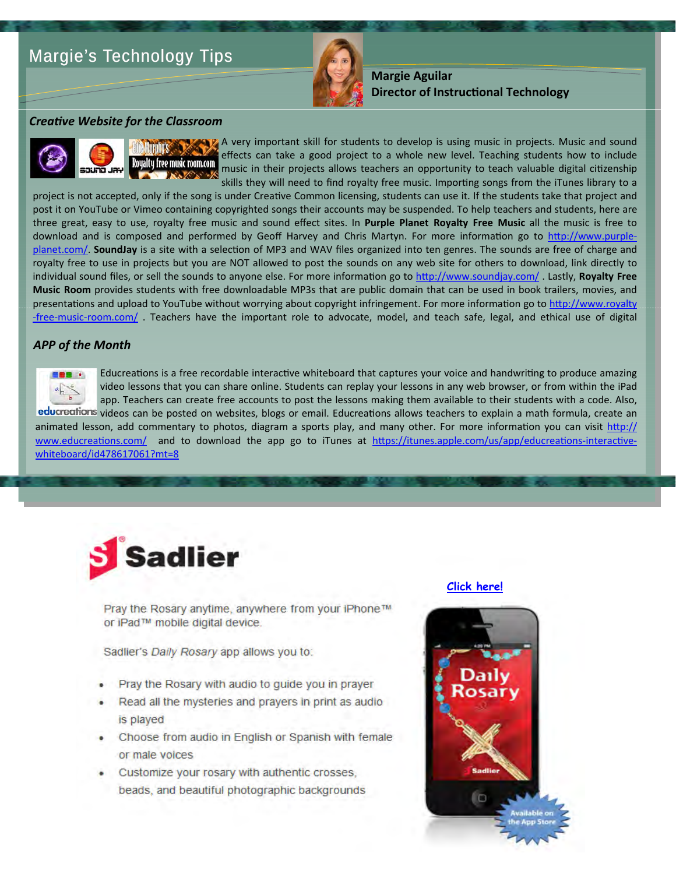# Margie's Technology Tips



**Margie Aguilar Director of InstrucƟonal Technology**

#### *CreaƟve Website for the Classroom*



A very important skill for students to develop is using music in projects. Music and sound effects can take a good project to a whole new level. Teaching students how to include music in their projects allows teachers an opportunity to teach valuable digital citizenship skills they will need to find royalty free music. Importing songs from the iTunes library to a

project is not accepted, only if the song is under Creative Common licensing, students can use it. If the students take that project and post it on YouTube or Vimeo containing copyrighted songs their accounts may be suspended. To help teachers and students, here are three great, easy to use, royalty free music and sound effect sites. In **Purple Planet Royalty Free Music** all the music is free to download and is composed and performed by Geoff Harvey and Chris Martyn. For more information go to htt[p://www.purple](http://www.purple-planet.com/)[planet.com/.](http://www.purple-planet.com/) SoundJay is a site with a selection of MP3 and WAV files organized into ten genres. The sounds are free of charge and royalty free to use in projects but you are NOT allowed to post the sounds on any web site for others to download, link directly to individual sound files, or sell the sounds to anyone else. For more information go to http://www.soundjay.com/. Lastly, **Royalty Free Music Room** provides students with free downloadable MP3s that are public domain that can be used in book trailers, movies, and presentations and upload to YouTube without worrying about copyright infringement. For more information go to htt[p://www.royalty](http://www.royalty-free-music-room.com/) ‐free‐music‐[room.com/](http://www.royalty-free-music-room.com/) . Teachers have the important role to advocate, model, and teach safe, legal, and ethical use of digital

#### *APP of the Month*



Educreations is a free recordable interactive whiteboard that captures your voice and handwriting to produce amazing video lessons that you can share online. Students can replay your lessons in any web browser, or from within the iPad app. Teachers can create free accounts to post the lessons making them available to their students with a code. Also,

educreations videos can be posted on websites, blogs or email. Educreations allows teachers to explain a math formula, create an animated lesson, add commentary to photos, diagram a sports play, and many other. For more information you can visit htt[p://](http://www.educreations.com/) [www.educrea](http://www.educreations.com/)tions.com/ and to download the app go to iTunes at htt[ps://itunes.apple.com/us/app/educrea](https://itunes.apple.com/us/app/educreations-interactive-whiteboard/id478617061?mt=8)tions-interactive[whiteboard/id478617061?mt=8](https://itunes.apple.com/us/app/educreations-interactive-whiteboard/id478617061?mt=8)



Pray the Rosary anytime, anywhere from your iPhone™ or iPad™ mobile digital device.

Sadlier's Daily Rosary app allows you to:

- Pray the Rosary with audio to guide you in prayer
- Read all the mysteries and prayers in print as audio is played
- Choose from audio in English or Spanish with female or male voices
- Customize your rosary with authentic crosses. beads, and beautiful photographic backgrounds



**[Click here!](https://itunes.apple.com/us/app/daily-rosary/id577098356?mt=8)**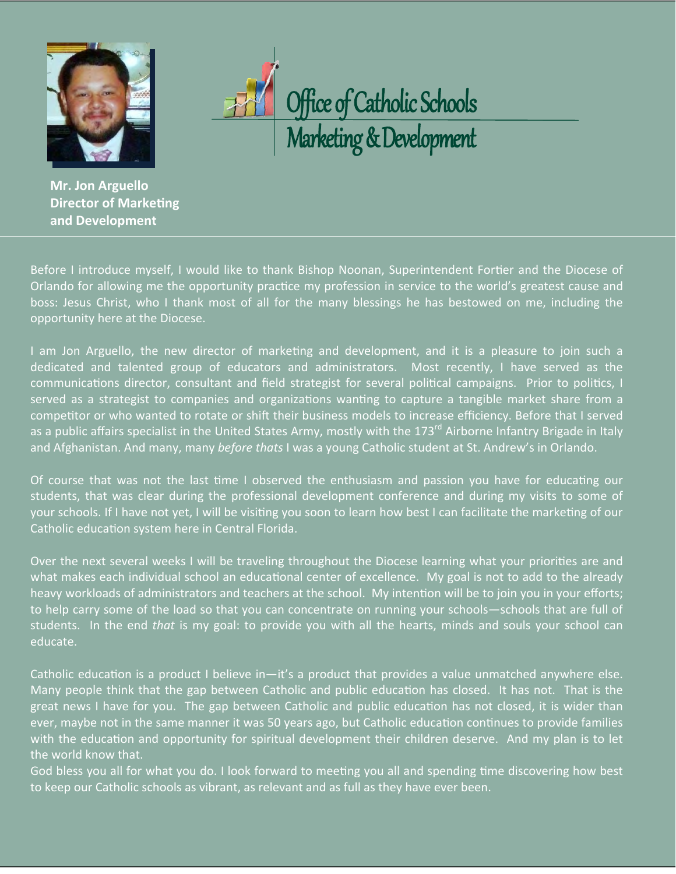



**Mr. Jon Arguello Director of Marketing and Development**

Before I introduce myself, I would like to thank Bishop Noonan, Superintendent Fortier and the Diocese of Orlando for allowing me the opportunity practice my profession in service to the world's greatest cause and boss: Jesus Christ, who I thank most of all for the many blessings he has bestowed on me, including the opportunity here at the Diocese.

I am Jon Arguello, the new director of marketing and development, and it is a pleasure to join such a dedicated and talented group of educators and administrators. Most recently, I have served as the communications director, consultant and field strategist for several political campaigns. Prior to politics, I served as a strategist to companies and organizations wanting to capture a tangible market share from a competitor or who wanted to rotate or shift their business models to increase efficiency. Before that I served as a public affairs specialist in the United States Army, mostly with the 173<sup>rd</sup> Airborne Infantry Brigade in Italy and Afghanistan. And many, many *before thats* I was a young Catholic student at St. Andrew's in Orlando.

Of course that was not the last time I observed the enthusiasm and passion you have for educating our students, that was clear during the professional development conference and during my visits to some of your schools. If I have not yet, I will be visiting you soon to learn how best I can facilitate the marketing of our Catholic education system here in Central Florida.

Over the next several weeks I will be traveling throughout the Diocese learning what your priorities are and what makes each individual school an educational center of excellence. My goal is not to add to the already heavy workloads of administrators and teachers at the school. My intention will be to join you in your efforts; to help carry some of the load so that you can concentrate on running your schools—schools that are full of students. In the end *that* is my goal: to provide you with all the hearts, minds and souls your school can educate.

Catholic education is a product I believe in-it's a product that provides a value unmatched anywhere else. Many people think that the gap between Catholic and public education has closed. It has not. That is the great news I have for you. The gap between Catholic and public education has not closed, it is wider than ever, maybe not in the same manner it was 50 years ago, but Catholic education continues to provide families with the education and opportunity for spiritual development their children deserve. And my plan is to let the world know that.

God bless you all for what you do. I look forward to meeting you all and spending time discovering how best to keep our Catholic schools as vibrant, as relevant and as full as they have ever been.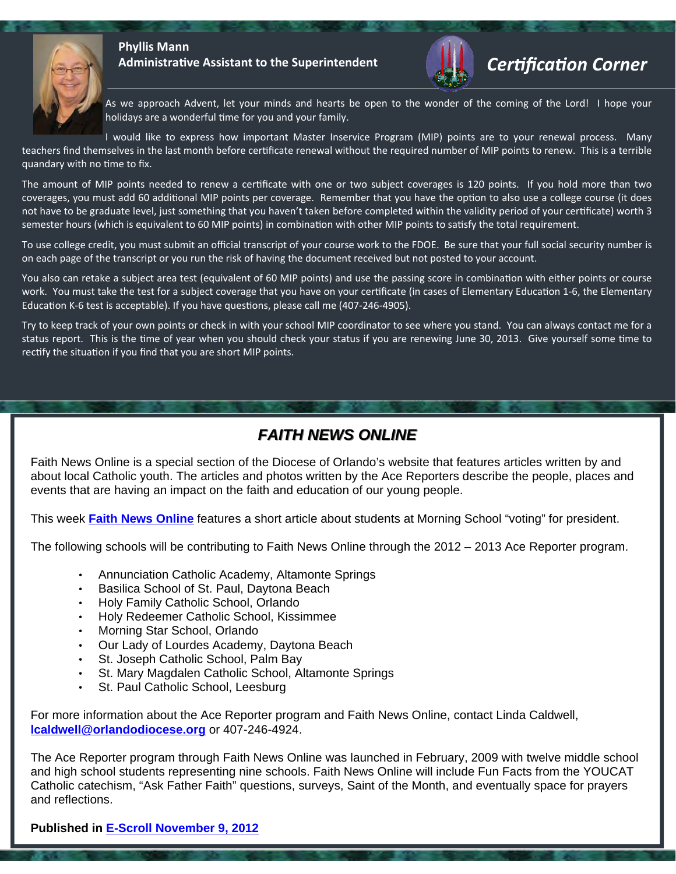

#### **Phyllis Mann Administrative Assistant to the Superintendent Certification Corner**



As we approach Advent, let your minds and hearts be open to the wonder of the coming of the Lord! I hope your holidays are a wonderful time for you and your family.

I would like to express how important Master Inservice Program (MIP) points are to your renewal process. Many teachers find themselves in the last month before certificate renewal without the required number of MIP points to renew. This is a terrible quandary with no time to fix.

The amount of MIP points needed to renew a certificate with one or two subject coverages is 120 points. If you hold more than two coverages, you must add 60 additional MIP points per coverage. Remember that you have the option to also use a college course (it does not have to be graduate level, just something that you haven't taken before completed within the validity period of your certificate) worth 3 semester hours (which is equivalent to 60 MIP points) in combination with other MIP points to satisfy the total requirement.

To use college credit, you must submit an official transcript of your course work to the FDOE. Be sure that your full social security number is on each page of the transcript or you run the risk of having the document received but not posted to your account.

You also can retake a subject area test (equivalent of 60 MIP points) and use the passing score in combination with either points or course work. You must take the test for a subject coverage that you have on your certificate (in cases of Elementary Education 1-6, the Elementary Education K-6 test is acceptable). If you have questions, please call me (407-246-4905).

Try to keep track of your own points or check in with your school MIP coordinator to see where you stand. You can always contact me for a status report. This is the time of year when you should check your status if you are renewing June 30, 2013. Give yourself some time to rectify the situation if you find that you are short MIP points.

### *FAITH NEWS ONLINE FAITH NEWS ONLINE*

Faith News Online is a special section of the Diocese of Orlando's website that features articles written by and about local Catholic youth. The articles and photos written by the Ace Reporters describe the people, places and events that are having an impact on the faith and education of our young people.

This week **[Faith News Online](http://www.orlandodiocese.org/fnfrontpage)** features a short article about students at Morning School "voting" for president.

The following schools will be contributing to Faith News Online through the 2012 – 2013 Ace Reporter program.

- Annunciation Catholic Academy, Altamonte Springs
- Basilica School of St. Paul, Daytona Beach
- Holy Family Catholic School, Orlando
- Holy Redeemer Catholic School, Kissimmee
- Morning Star School, Orlando
- Our Lady of Lourdes Academy, Daytona Beach
- St. Joseph Catholic School, Palm Bay
- St. Mary Magdalen Catholic School, Altamonte Springs
- St. Paul Catholic School, Leesburg

For more information about the Ace Reporter program and Faith News Online, contact Linda Caldwell, **[lcaldwell@orlandodiocese.org](mailto:lcaldwell@orlandodiocese.org)** or 407-246-4924.

The Ace Reporter program through Faith News Online was launched in February, 2009 with twelve middle school and high school students representing nine schools. Faith News Online will include Fun Facts from the YOUCAT Catholic catechism, "Ask Father Faith" questions, surveys, Saint of the Month, and eventually space for prayers and reflections.

#### **Published in [E-Scroll November 9, 2012](http://www.orlandodiocese.org/e-scroll-current-issue)**